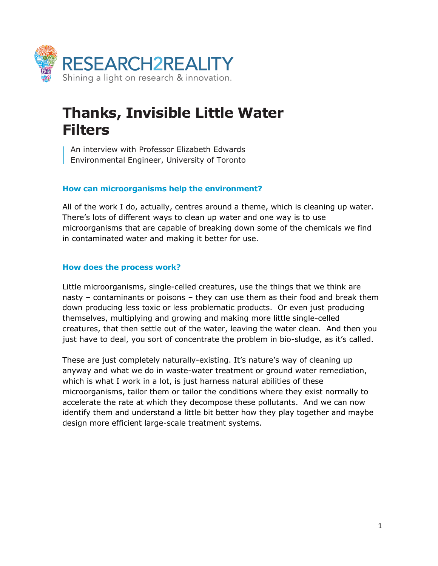

# **Thanks, Invisible Little Water Filters**

An interview with Professor Elizabeth Edwards **Environmental Engineer, University of Toronto** 

## **How can microorganisms help the environment?**

All of the work I do, actually, centres around a theme, which is cleaning up water. There's lots of different ways to clean up water and one way is to use microorganisms that are capable of breaking down some of the chemicals we find in contaminated water and making it better for use.

# **How does the process work?**

Little microorganisms, single-celled creatures, use the things that we think are nasty – contaminants or poisons – they can use them as their food and break them down producing less toxic or less problematic products. Or even just producing themselves, multiplying and growing and making more little single-celled creatures, that then settle out of the water, leaving the water clean. And then you just have to deal, you sort of concentrate the problem in bio-sludge, as it's called.

These are just completely naturally-existing. It's nature's way of cleaning up anyway and what we do in waste-water treatment or ground water remediation, which is what I work in a lot, is just harness natural abilities of these microorganisms, tailor them or tailor the conditions where they exist normally to accelerate the rate at which they decompose these pollutants. And we can now identify them and understand a little bit better how they play together and maybe design more efficient large-scale treatment systems.